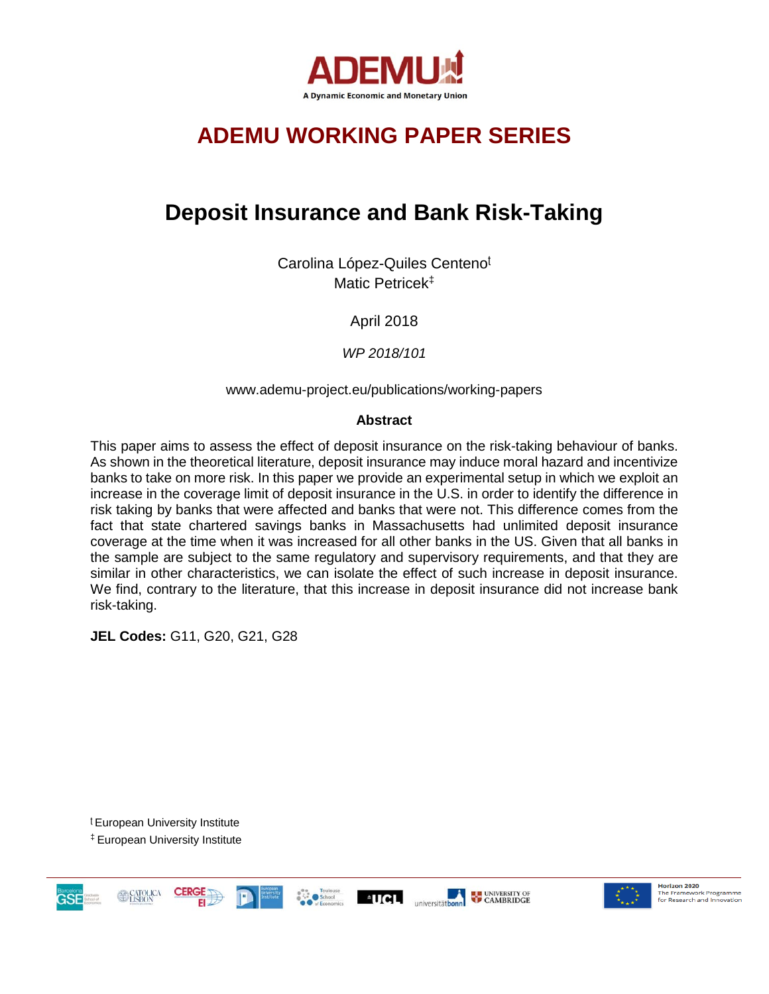

# **ADEMU WORKING PAPER SERIES**

# **Deposit Insurance and Bank Risk-Taking**

Carolina López-Quiles Centeno<sup>t</sup> Matic Petricek‡

April 2018

*WP 2018/101*

www.ademu-project.eu/publications/working-papers

#### **Abstract**

This paper aims to assess the effect of deposit insurance on the risk-taking behaviour of banks. As shown in the theoretical literature, deposit insurance may induce moral hazard and incentivize banks to take on more risk. In this paper we provide an experimental setup in which we exploit an increase in the coverage limit of deposit insurance in the U.S. in order to identify the difference in risk taking by banks that were affected and banks that were not. This difference comes from the fact that state chartered savings banks in Massachusetts had unlimited deposit insurance coverage at the time when it was increased for all other banks in the US. Given that all banks in the sample are subject to the same regulatory and supervisory requirements, and that they are similar in other characteristics, we can isolate the effect of such increase in deposit insurance. We find, contrary to the literature, that this increase in deposit insurance did not increase bank risk-taking.

**JEL Codes:** G11, G20, G21, G28

<sup>ʈ</sup> European University Institute ‡ European University Institute

GSE





Horizon 2020 **Horizon 2020**<br>The Framework Programme<br>for Research and Innovation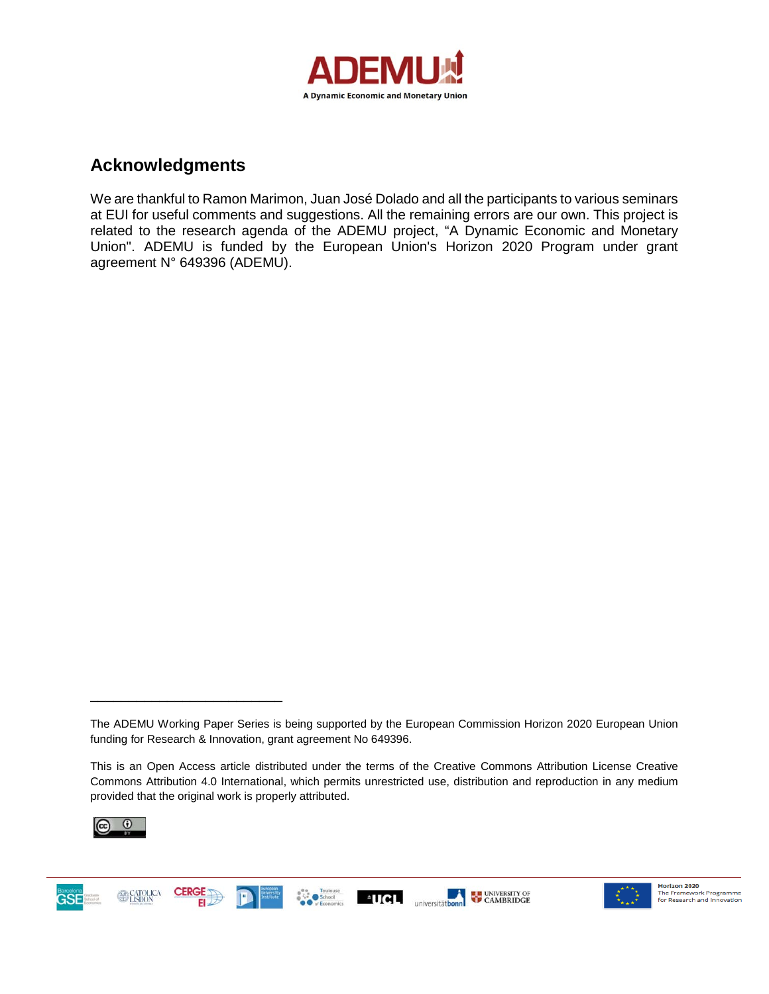

## **Acknowledgments**

We are thankful to Ramon Marimon, Juan José Dolado and all the participants to various seminars at EUI for useful comments and suggestions. All the remaining errors are our own. This project is related to the research agenda of the ADEMU project, "A Dynamic Economic and Monetary Union". ADEMU is funded by the European Union's Horizon 2020 Program under grant agreement N° 649396 (ADEMU).

This is an Open Access article distributed under the terms of the Creative Commons Attribution License Creative Commons Attribution 4.0 International, which permits unrestricted use, distribution and reproduction in any medium provided that the original work is properly attributed.



\_\_\_\_\_\_\_\_\_\_\_\_\_\_\_\_\_\_\_\_\_\_\_\_\_





The ADEMU Working Paper Series is being supported by the European Commission Horizon 2020 European Union funding for Research & Innovation, grant agreement No 649396.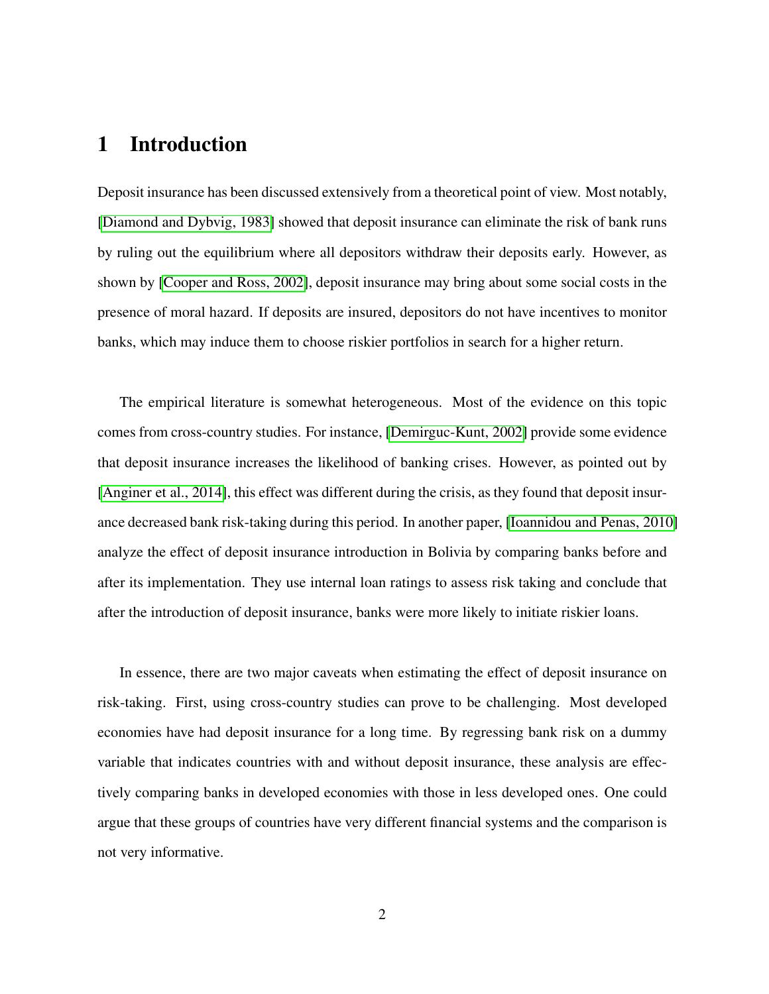# 1 Introduction

Deposit insurance has been discussed extensively from a theoretical point of view. Most notably, [\[Diamond and Dybvig, 1983\]](#page-25-0) showed that deposit insurance can eliminate the risk of bank runs by ruling out the equilibrium where all depositors withdraw their deposits early. However, as shown by [\[Cooper and Ross, 2002\]](#page-25-1), deposit insurance may bring about some social costs in the presence of moral hazard. If deposits are insured, depositors do not have incentives to monitor banks, which may induce them to choose riskier portfolios in search for a higher return.

The empirical literature is somewhat heterogeneous. Most of the evidence on this topic comes from cross-country studies. For instance, [\[Demirguc-Kunt, 2002\]](#page-25-2) provide some evidence that deposit insurance increases the likelihood of banking crises. However, as pointed out by [\[Anginer et al., 2014\]](#page-25-3), this effect was different during the crisis, as they found that deposit insurance decreased bank risk-taking during this period. In another paper, [\[Ioannidou and Penas, 2010\]](#page-26-0) analyze the effect of deposit insurance introduction in Bolivia by comparing banks before and after its implementation. They use internal loan ratings to assess risk taking and conclude that after the introduction of deposit insurance, banks were more likely to initiate riskier loans.

In essence, there are two major caveats when estimating the effect of deposit insurance on risk-taking. First, using cross-country studies can prove to be challenging. Most developed economies have had deposit insurance for a long time. By regressing bank risk on a dummy variable that indicates countries with and without deposit insurance, these analysis are effectively comparing banks in developed economies with those in less developed ones. One could argue that these groups of countries have very different financial systems and the comparison is not very informative.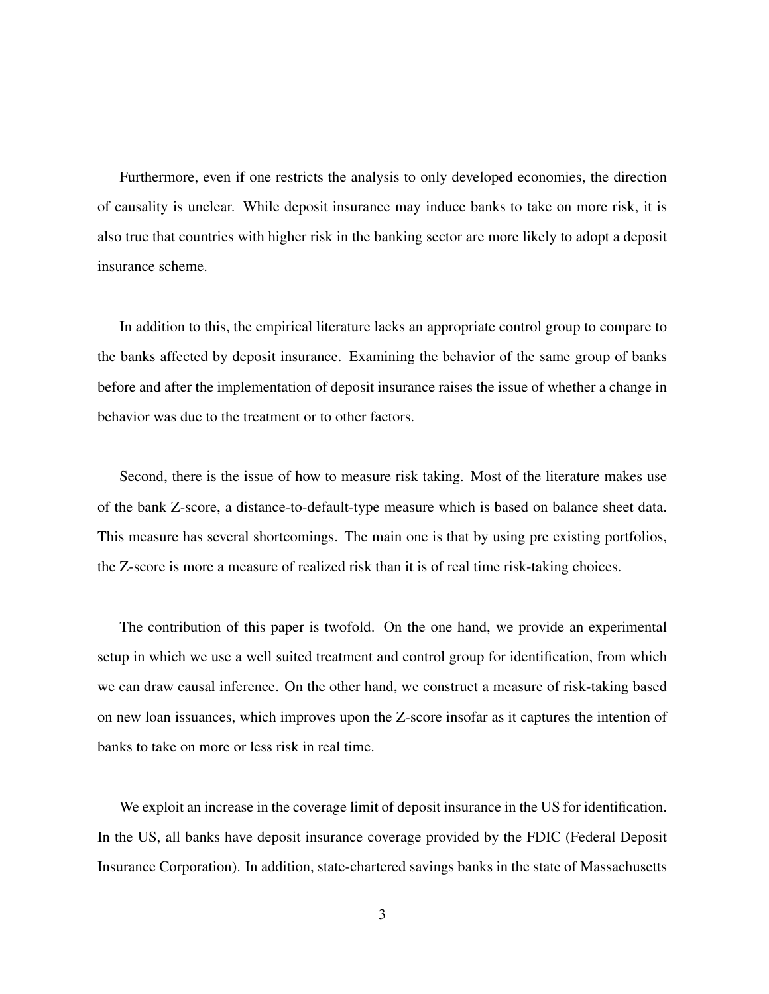Furthermore, even if one restricts the analysis to only developed economies, the direction of causality is unclear. While deposit insurance may induce banks to take on more risk, it is also true that countries with higher risk in the banking sector are more likely to adopt a deposit insurance scheme.

In addition to this, the empirical literature lacks an appropriate control group to compare to the banks affected by deposit insurance. Examining the behavior of the same group of banks before and after the implementation of deposit insurance raises the issue of whether a change in behavior was due to the treatment or to other factors.

Second, there is the issue of how to measure risk taking. Most of the literature makes use of the bank Z-score, a distance-to-default-type measure which is based on balance sheet data. This measure has several shortcomings. The main one is that by using pre existing portfolios, the Z-score is more a measure of realized risk than it is of real time risk-taking choices.

The contribution of this paper is twofold. On the one hand, we provide an experimental setup in which we use a well suited treatment and control group for identification, from which we can draw causal inference. On the other hand, we construct a measure of risk-taking based on new loan issuances, which improves upon the Z-score insofar as it captures the intention of banks to take on more or less risk in real time.

We exploit an increase in the coverage limit of deposit insurance in the US for identification. In the US, all banks have deposit insurance coverage provided by the FDIC (Federal Deposit Insurance Corporation). In addition, state-chartered savings banks in the state of Massachusetts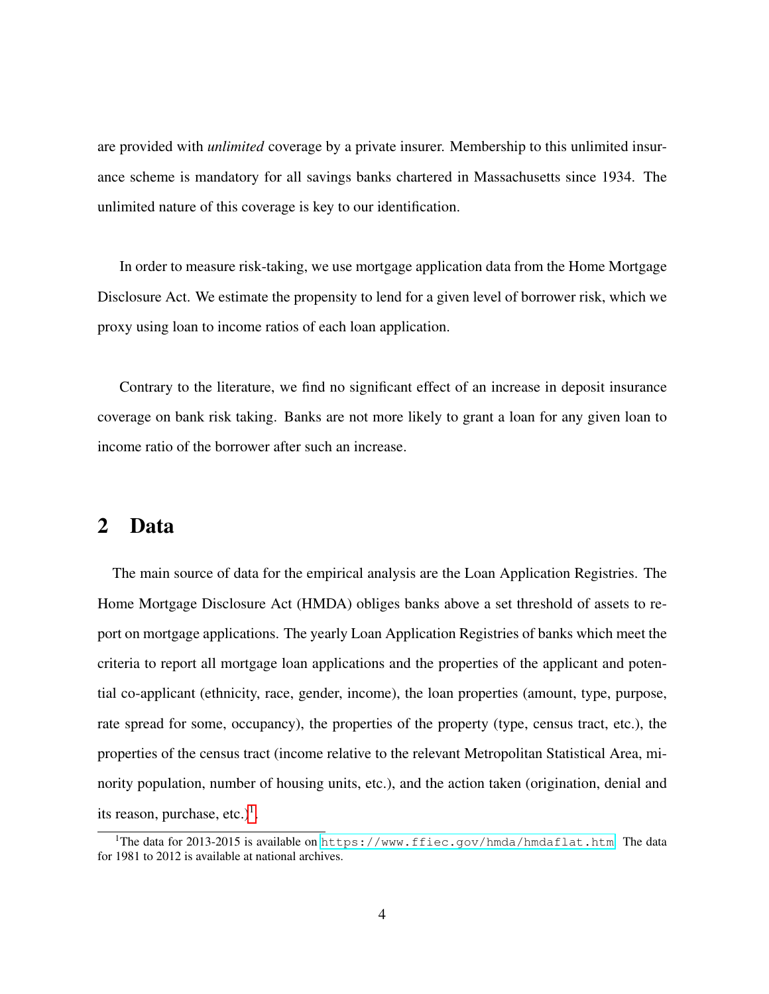are provided with *unlimited* coverage by a private insurer. Membership to this unlimited insurance scheme is mandatory for all savings banks chartered in Massachusetts since 1934. The unlimited nature of this coverage is key to our identification.

In order to measure risk-taking, we use mortgage application data from the Home Mortgage Disclosure Act. We estimate the propensity to lend for a given level of borrower risk, which we proxy using loan to income ratios of each loan application.

Contrary to the literature, we find no significant effect of an increase in deposit insurance coverage on bank risk taking. Banks are not more likely to grant a loan for any given loan to income ratio of the borrower after such an increase.

## 2 Data

The main source of data for the empirical analysis are the Loan Application Registries. The Home Mortgage Disclosure Act (HMDA) obliges banks above a set threshold of assets to report on mortgage applications. The yearly Loan Application Registries of banks which meet the criteria to report all mortgage loan applications and the properties of the applicant and potential co-applicant (ethnicity, race, gender, income), the loan properties (amount, type, purpose, rate spread for some, occupancy), the properties of the property (type, census tract, etc.), the properties of the census tract (income relative to the relevant Metropolitan Statistical Area, minority population, number of housing units, etc.), and the action taken (origination, denial and its reason, purchase, etc.)<sup>[1](#page-4-0)</sup>.

<span id="page-4-0"></span><sup>&</sup>lt;sup>1</sup>The data for 2013-2015 is available on <https://www.ffiec.gov/hmda/hmdaflat.htm>. The data for 1981 to 2012 is available at national archives.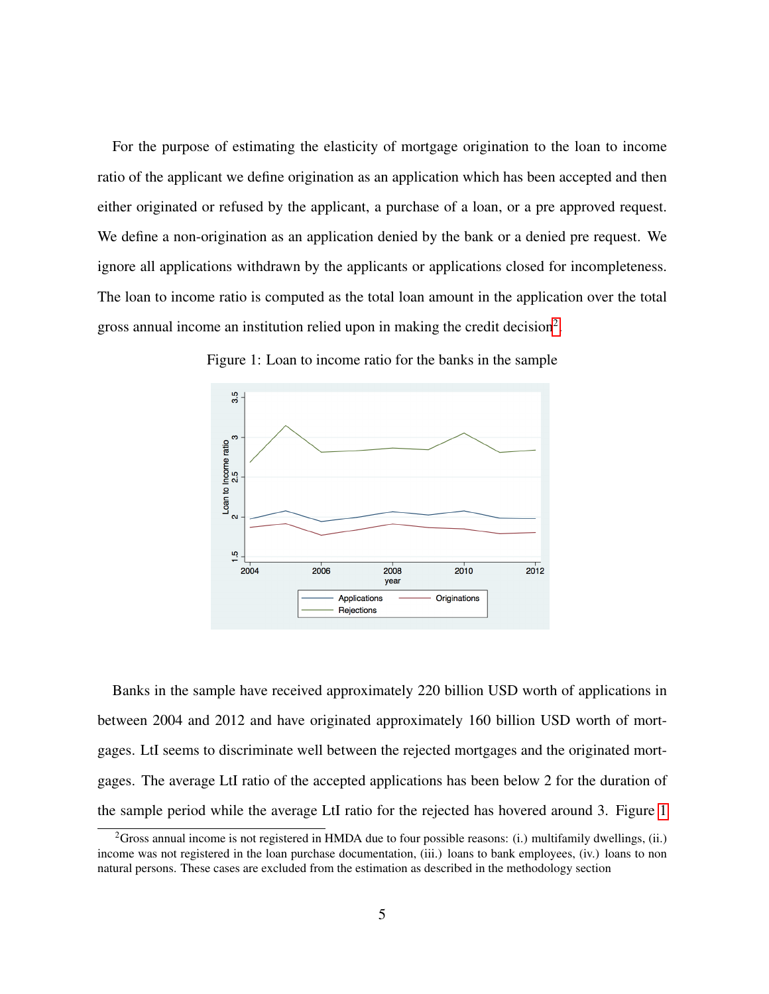For the purpose of estimating the elasticity of mortgage origination to the loan to income ratio of the applicant we define origination as an application which has been accepted and then either originated or refused by the applicant, a purchase of a loan, or a pre approved request. We define a non-origination as an application denied by the bank or a denied pre request. We ignore all applications withdrawn by the applicants or applications closed for incompleteness. The loan to income ratio is computed as the total loan amount in the application over the total gross annual income an institution relied upon in making the credit decision<sup>[2](#page-5-0)</sup>.



<span id="page-5-1"></span>Figure 1: Loan to income ratio for the banks in the sample

Banks in the sample have received approximately 220 billion USD worth of applications in between 2004 and 2012 and have originated approximately 160 billion USD worth of mortgages. LtI seems to discriminate well between the rejected mortgages and the originated mortgages. The average LtI ratio of the accepted applications has been below 2 for the duration of the sample period while the average LtI ratio for the rejected has hovered around 3. Figure [1](#page-5-1)

<span id="page-5-0"></span><sup>&</sup>lt;sup>2</sup>Gross annual income is not registered in HMDA due to four possible reasons: (i.) multifamily dwellings, (ii.) income was not registered in the loan purchase documentation, (iii.) loans to bank employees, (iv.) loans to non natural persons. These cases are excluded from the estimation as described in the methodology section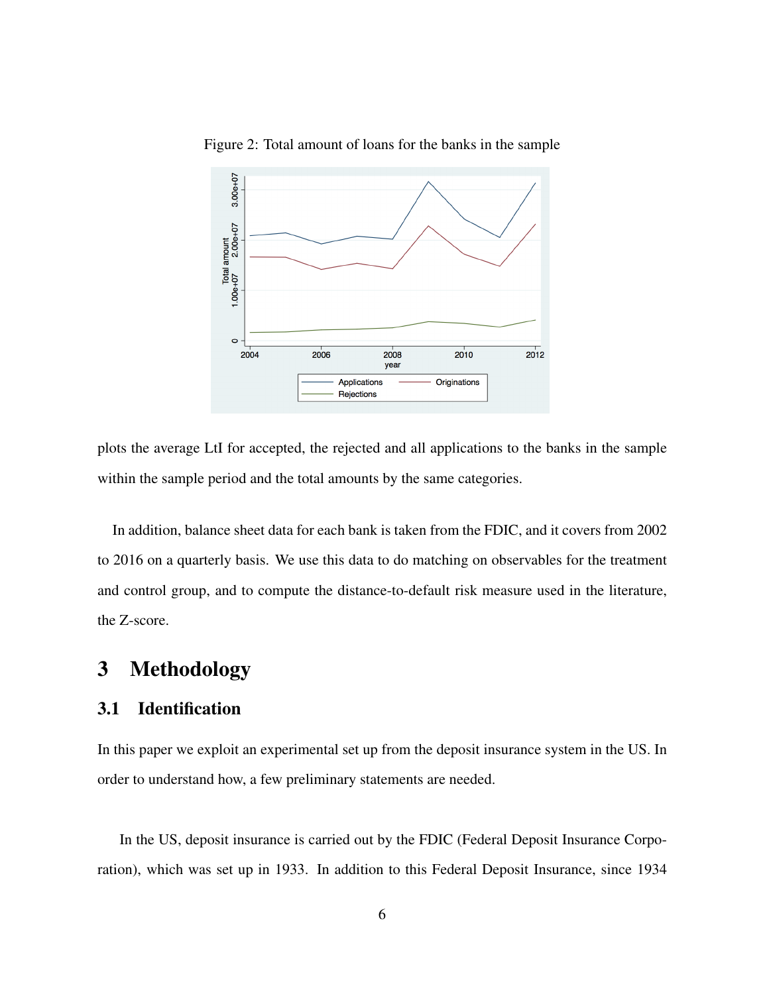

Figure 2: Total amount of loans for the banks in the sample

plots the average LtI for accepted, the rejected and all applications to the banks in the sample within the sample period and the total amounts by the same categories.

In addition, balance sheet data for each bank is taken from the FDIC, and it covers from 2002 to 2016 on a quarterly basis. We use this data to do matching on observables for the treatment and control group, and to compute the distance-to-default risk measure used in the literature, the Z-score.

# 3 Methodology

### 3.1 Identification

In this paper we exploit an experimental set up from the deposit insurance system in the US. In order to understand how, a few preliminary statements are needed.

In the US, deposit insurance is carried out by the FDIC (Federal Deposit Insurance Corporation), which was set up in 1933. In addition to this Federal Deposit Insurance, since 1934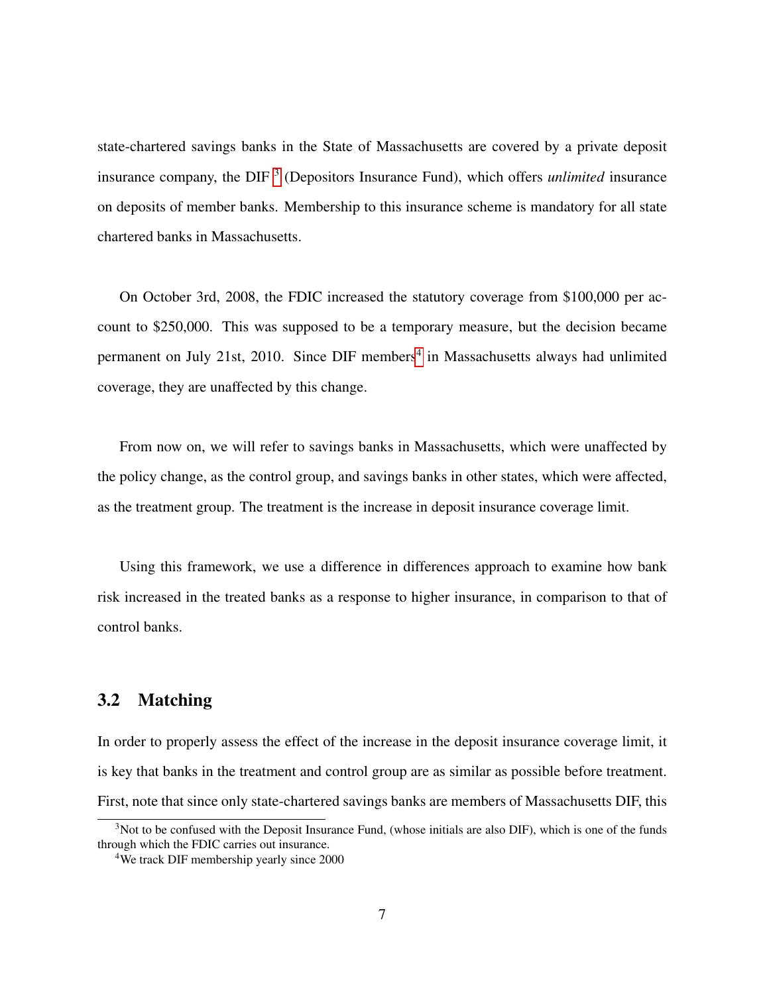state-chartered savings banks in the State of Massachusetts are covered by a private deposit insurance company, the DIF<sup>[3](#page-7-0)</sup> (Depositors Insurance Fund), which offers *unlimited* insurance on deposits of member banks. Membership to this insurance scheme is mandatory for all state chartered banks in Massachusetts.

On October 3rd, 2008, the FDIC increased the statutory coverage from \$100,000 per account to \$250,000. This was supposed to be a temporary measure, but the decision became permanent on July 21st, 2010. Since DIF members<sup>[4](#page-7-1)</sup> in Massachusetts always had unlimited coverage, they are unaffected by this change.

From now on, we will refer to savings banks in Massachusetts, which were unaffected by the policy change, as the control group, and savings banks in other states, which were affected, as the treatment group. The treatment is the increase in deposit insurance coverage limit.

Using this framework, we use a difference in differences approach to examine how bank risk increased in the treated banks as a response to higher insurance, in comparison to that of control banks.

### 3.2 Matching

In order to properly assess the effect of the increase in the deposit insurance coverage limit, it is key that banks in the treatment and control group are as similar as possible before treatment. First, note that since only state-chartered savings banks are members of Massachusetts DIF, this

<span id="page-7-0"></span><sup>&</sup>lt;sup>3</sup>Not to be confused with the Deposit Insurance Fund, (whose initials are also DIF), which is one of the funds through which the FDIC carries out insurance.

<span id="page-7-1"></span><sup>4</sup>We track DIF membership yearly since 2000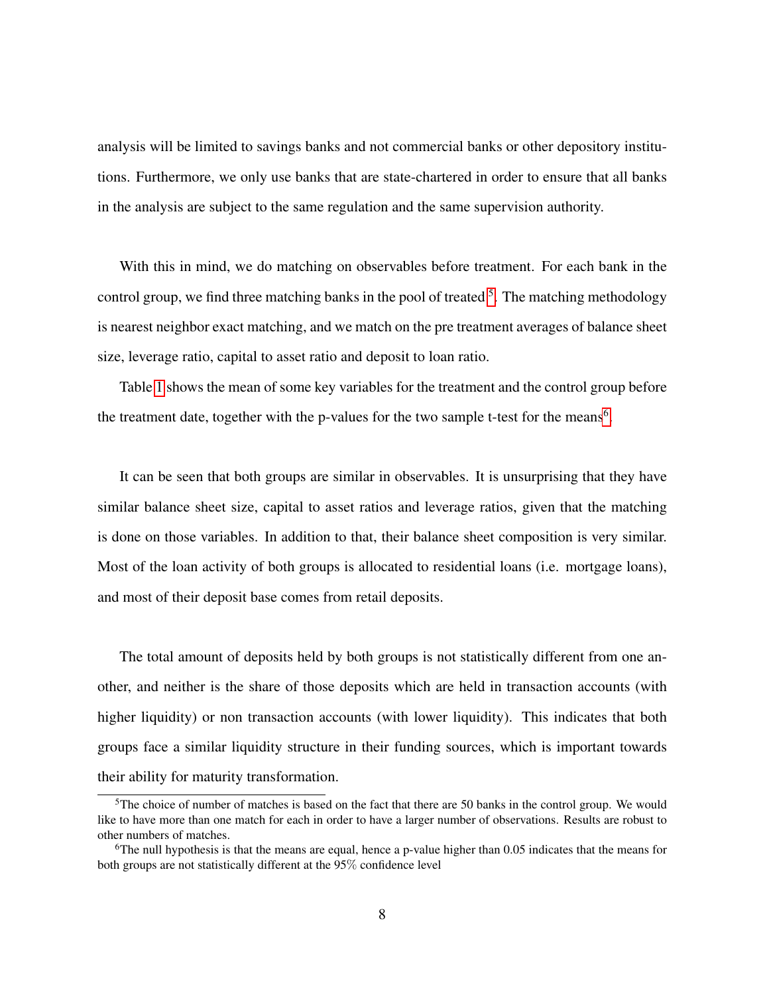analysis will be limited to savings banks and not commercial banks or other depository institutions. Furthermore, we only use banks that are state-chartered in order to ensure that all banks in the analysis are subject to the same regulation and the same supervision authority.

With this in mind, we do matching on observables before treatment. For each bank in the control group, we find three matching banks in the pool of treated <sup>[5](#page-8-0)</sup>. The matching methodology is nearest neighbor exact matching, and we match on the pre treatment averages of balance sheet size, leverage ratio, capital to asset ratio and deposit to loan ratio.

Table [1](#page-9-0) shows the mean of some key variables for the treatment and the control group before the treatment date, together with the p-values for the two sample t-test for the means<sup>[6](#page-8-1)</sup>.

It can be seen that both groups are similar in observables. It is unsurprising that they have similar balance sheet size, capital to asset ratios and leverage ratios, given that the matching is done on those variables. In addition to that, their balance sheet composition is very similar. Most of the loan activity of both groups is allocated to residential loans (i.e. mortgage loans), and most of their deposit base comes from retail deposits.

The total amount of deposits held by both groups is not statistically different from one another, and neither is the share of those deposits which are held in transaction accounts (with higher liquidity) or non transaction accounts (with lower liquidity). This indicates that both groups face a similar liquidity structure in their funding sources, which is important towards their ability for maturity transformation.

<span id="page-8-0"></span><sup>&</sup>lt;sup>5</sup>The choice of number of matches is based on the fact that there are 50 banks in the control group. We would like to have more than one match for each in order to have a larger number of observations. Results are robust to other numbers of matches.

<span id="page-8-1"></span> $6$ The null hypothesis is that the means are equal, hence a p-value higher than 0.05 indicates that the means for both groups are not statistically different at the 95% confidence level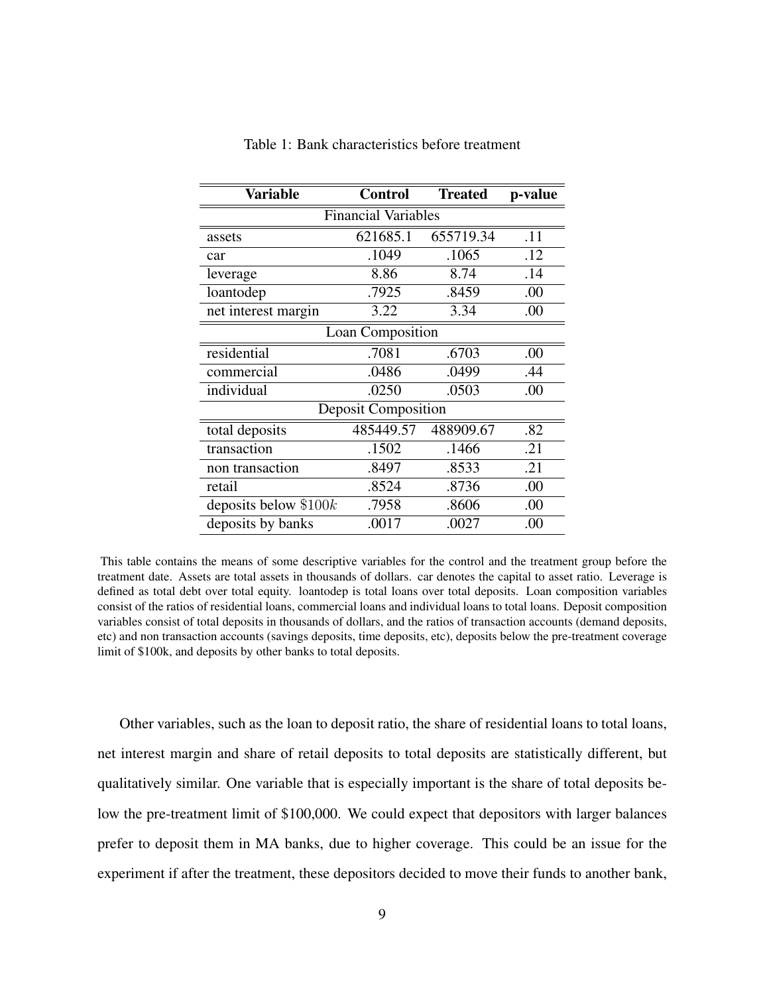<span id="page-9-0"></span>

| <b>Variable</b>            | <b>Control</b> | <b>Treated</b> | p-value |  |  |
|----------------------------|----------------|----------------|---------|--|--|
| <b>Financial Variables</b> |                |                |         |  |  |
| assets                     | 621685.1       | 655719.34      | .11     |  |  |
| car                        | .1049          | .1065          | .12     |  |  |
| leverage                   | 8.86           | 8.74           | .14     |  |  |
| loantodep                  | .7925          | .8459          | .00     |  |  |
| net interest margin        | 3.22           | 3.34           | .00     |  |  |
| Loan Composition           |                |                |         |  |  |
| residential                | .7081          | .6703          | .00     |  |  |
| commercial                 | .0486          | .0499          | .44     |  |  |
| individual                 | .0250          | .0503          | .00     |  |  |
| <b>Deposit Composition</b> |                |                |         |  |  |
| total deposits             | 485449.57      | 488909.67      | .82     |  |  |
| transaction                | .1502          | .1466          | .21     |  |  |
| non transaction            | .8497          | .8533          | .21     |  |  |
| retail                     | .8524          | .8736          | .00     |  |  |
| deposits below $$100k$     | .7958          | .8606          | .00     |  |  |
| deposits by banks          | .0017          | .0027          | .00     |  |  |

Table 1: Bank characteristics before treatment

This table contains the means of some descriptive variables for the control and the treatment group before the treatment date. Assets are total assets in thousands of dollars. car denotes the capital to asset ratio. Leverage is defined as total debt over total equity. loantodep is total loans over total deposits. Loan composition variables consist of the ratios of residential loans, commercial loans and individual loans to total loans. Deposit composition variables consist of total deposits in thousands of dollars, and the ratios of transaction accounts (demand deposits, etc) and non transaction accounts (savings deposits, time deposits, etc), deposits below the pre-treatment coverage limit of \$100k, and deposits by other banks to total deposits.

Other variables, such as the loan to deposit ratio, the share of residential loans to total loans, net interest margin and share of retail deposits to total deposits are statistically different, but qualitatively similar. One variable that is especially important is the share of total deposits below the pre-treatment limit of \$100,000. We could expect that depositors with larger balances prefer to deposit them in MA banks, due to higher coverage. This could be an issue for the experiment if after the treatment, these depositors decided to move their funds to another bank,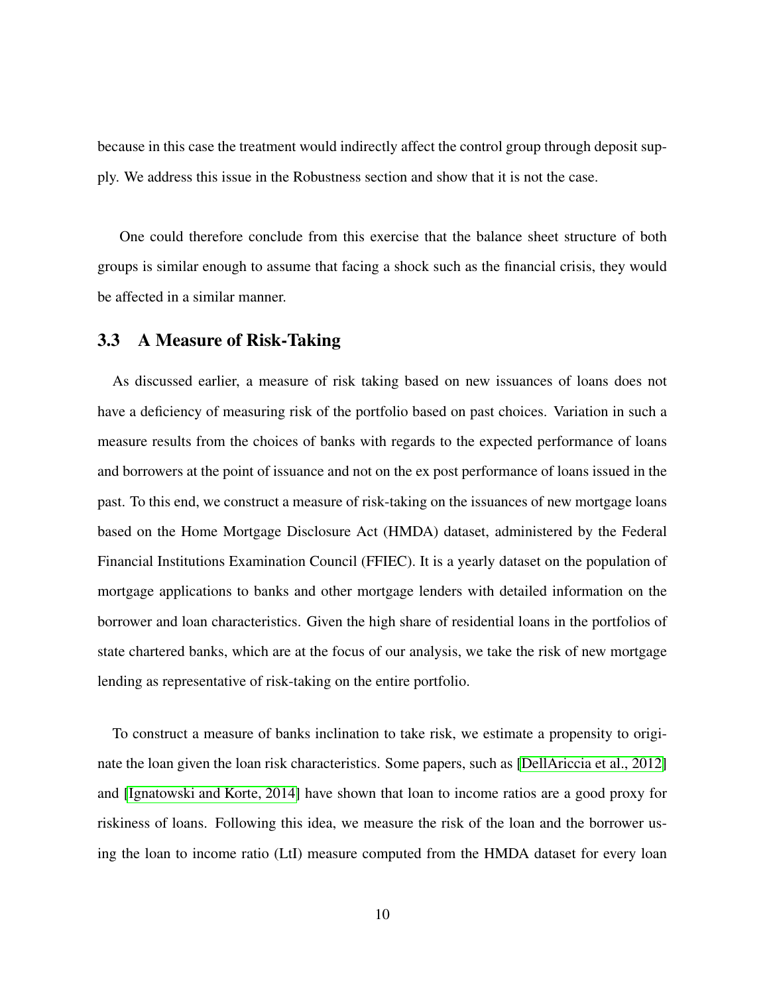because in this case the treatment would indirectly affect the control group through deposit supply. We address this issue in the Robustness section and show that it is not the case.

One could therefore conclude from this exercise that the balance sheet structure of both groups is similar enough to assume that facing a shock such as the financial crisis, they would be affected in a similar manner.

#### 3.3 A Measure of Risk-Taking

As discussed earlier, a measure of risk taking based on new issuances of loans does not have a deficiency of measuring risk of the portfolio based on past choices. Variation in such a measure results from the choices of banks with regards to the expected performance of loans and borrowers at the point of issuance and not on the ex post performance of loans issued in the past. To this end, we construct a measure of risk-taking on the issuances of new mortgage loans based on the Home Mortgage Disclosure Act (HMDA) dataset, administered by the Federal Financial Institutions Examination Council (FFIEC). It is a yearly dataset on the population of mortgage applications to banks and other mortgage lenders with detailed information on the borrower and loan characteristics. Given the high share of residential loans in the portfolios of state chartered banks, which are at the focus of our analysis, we take the risk of new mortgage lending as representative of risk-taking on the entire portfolio.

To construct a measure of banks inclination to take risk, we estimate a propensity to originate the loan given the loan risk characteristics. Some papers, such as [\[DellAriccia et al., 2012\]](#page-25-4) and [\[Ignatowski and Korte, 2014\]](#page-25-5) have shown that loan to income ratios are a good proxy for riskiness of loans. Following this idea, we measure the risk of the loan and the borrower using the loan to income ratio (LtI) measure computed from the HMDA dataset for every loan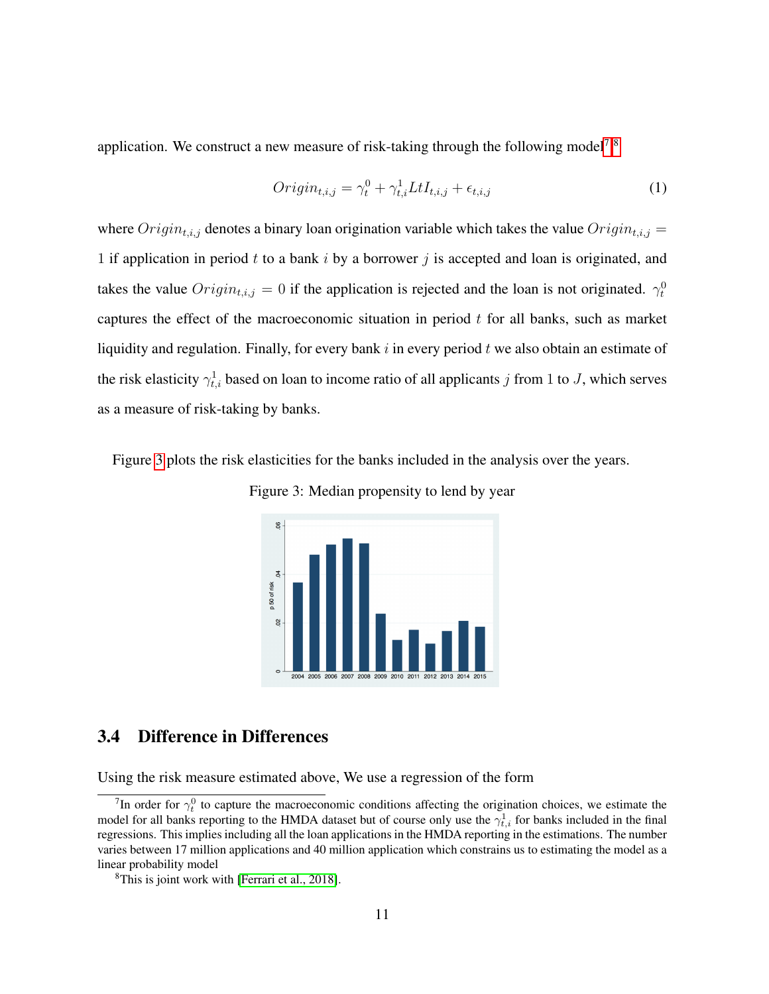application. We construct a new measure of risk-taking through the following model<sup>[7](#page-11-0)</sup>.<sup>[8](#page-11-1)</sup>

$$
Origin_{t,i,j} = \gamma_t^0 + \gamma_{t,i}^1 L t I_{t,i,j} + \epsilon_{t,i,j}
$$
\n
$$
(1)
$$

where  $Original_{i,j}$  denotes a binary loan origination variable which takes the value  $Original_{i,j}$  = 1 if application in period t to a bank i by a borrower j is accepted and loan is originated, and takes the value  $Origin_{t,i,j} = 0$  if the application is rejected and the loan is not originated.  $\gamma_t^0$ captures the effect of the macroeconomic situation in period  $t$  for all banks, such as market liquidity and regulation. Finally, for every bank  $i$  in every period  $t$  we also obtain an estimate of the risk elasticity  $\gamma_{t,i}^1$  based on loan to income ratio of all applicants j from 1 to J, which serves as a measure of risk-taking by banks.

<span id="page-11-2"></span>Figure [3](#page-11-2) plots the risk elasticities for the banks included in the analysis over the years.

Figure 3: Median propensity to lend by year



#### 3.4 Difference in Differences

Using the risk measure estimated above, We use a regression of the form

<span id="page-11-0"></span><sup>&</sup>lt;sup>7</sup>In order for  $\gamma_t^0$  to capture the macroeconomic conditions affecting the origination choices, we estimate the model for all banks reporting to the HMDA dataset but of course only use the  $\gamma_{t,i}^1$  for banks included in the final regressions. This implies including all the loan applications in the HMDA reporting in the estimations. The number varies between 17 million applications and 40 million application which constrains us to estimating the model as a linear probability model

<span id="page-11-1"></span><sup>&</sup>lt;sup>8</sup>This is joint work with [\[Ferrari et al., 2018\]](#page-25-6).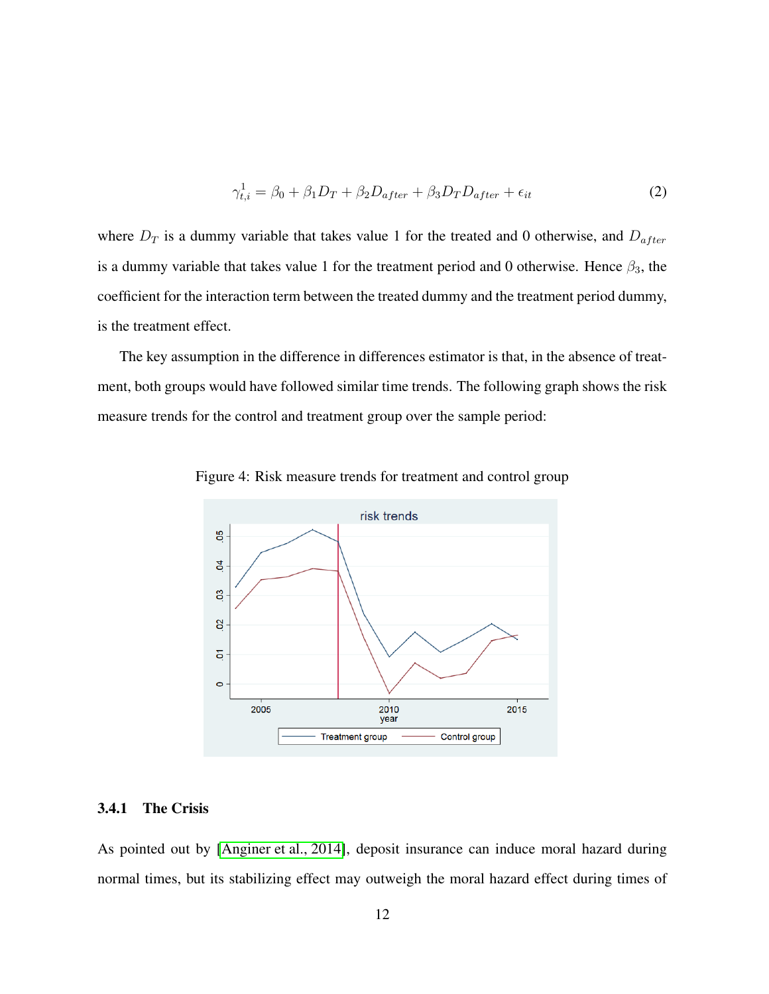<span id="page-12-0"></span>
$$
\gamma_{t,i}^1 = \beta_0 + \beta_1 D_T + \beta_2 D_{after} + \beta_3 D_T D_{after} + \epsilon_{it}
$$
\n(2)

where  $D_T$  is a dummy variable that takes value 1 for the treated and 0 otherwise, and  $D_{after}$ is a dummy variable that takes value 1 for the treatment period and 0 otherwise. Hence  $\beta_3$ , the coefficient for the interaction term between the treated dummy and the treatment period dummy, is the treatment effect.

The key assumption in the difference in differences estimator is that, in the absence of treatment, both groups would have followed similar time trends. The following graph shows the risk measure trends for the control and treatment group over the sample period:



Figure 4: Risk measure trends for treatment and control group

#### 3.4.1 The Crisis

As pointed out by [\[Anginer et al., 2014\]](#page-25-3), deposit insurance can induce moral hazard during normal times, but its stabilizing effect may outweigh the moral hazard effect during times of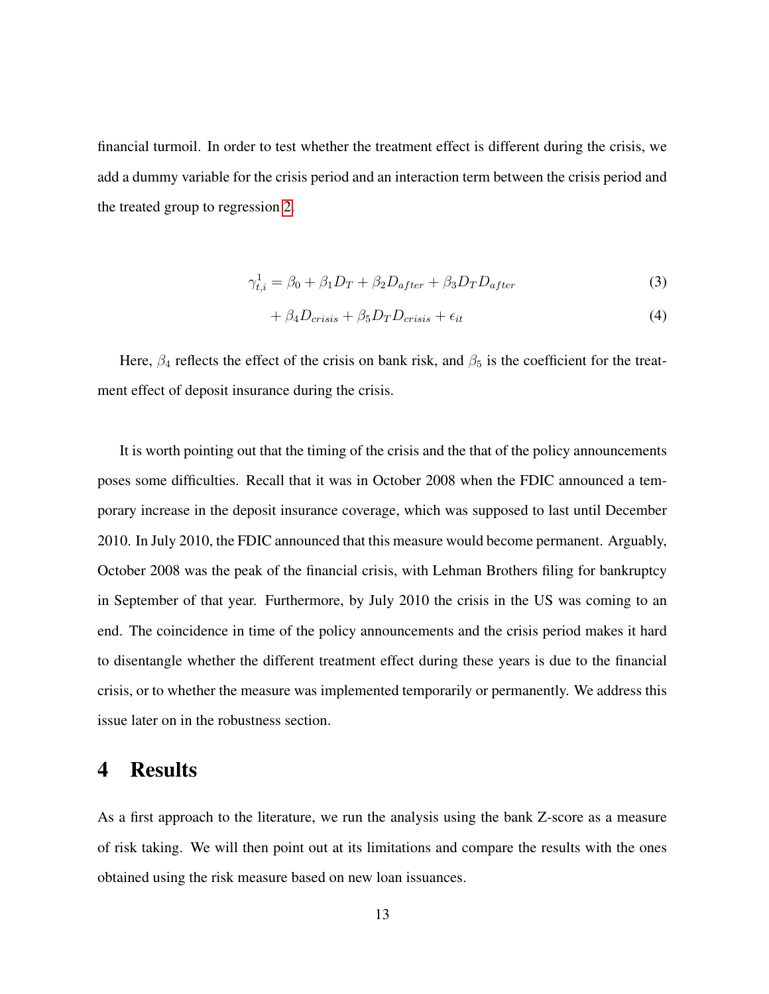financial turmoil. In order to test whether the treatment effect is different during the crisis, we add a dummy variable for the crisis period and an interaction term between the crisis period and the treated group to regression [2.](#page-12-0)

$$
\gamma_{t,i}^1 = \beta_0 + \beta_1 D_T + \beta_2 D_{after} + \beta_3 D_T D_{after} \tag{3}
$$

$$
+\beta_4 D_{crisis} + \beta_5 D_T D_{crisis} + \epsilon_{it} \tag{4}
$$

Here,  $\beta_4$  reflects the effect of the crisis on bank risk, and  $\beta_5$  is the coefficient for the treatment effect of deposit insurance during the crisis.

It is worth pointing out that the timing of the crisis and the that of the policy announcements poses some difficulties. Recall that it was in October 2008 when the FDIC announced a temporary increase in the deposit insurance coverage, which was supposed to last until December 2010. In July 2010, the FDIC announced that this measure would become permanent. Arguably, October 2008 was the peak of the financial crisis, with Lehman Brothers filing for bankruptcy in September of that year. Furthermore, by July 2010 the crisis in the US was coming to an end. The coincidence in time of the policy announcements and the crisis period makes it hard to disentangle whether the different treatment effect during these years is due to the financial crisis, or to whether the measure was implemented temporarily or permanently. We address this issue later on in the robustness section.

### 4 Results

As a first approach to the literature, we run the analysis using the bank Z-score as a measure of risk taking. We will then point out at its limitations and compare the results with the ones obtained using the risk measure based on new loan issuances.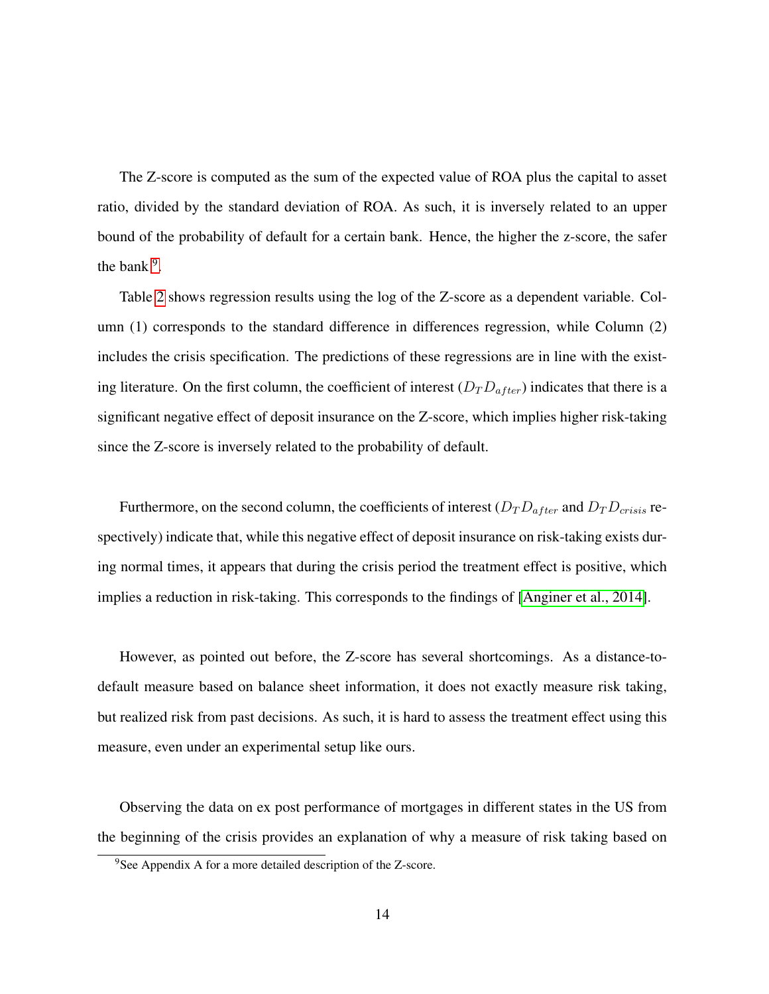The Z-score is computed as the sum of the expected value of ROA plus the capital to asset ratio, divided by the standard deviation of ROA. As such, it is inversely related to an upper bound of the probability of default for a certain bank. Hence, the higher the z-score, the safer the bank  $9$ .

Table [2](#page-15-0) shows regression results using the log of the Z-score as a dependent variable. Column (1) corresponds to the standard difference in differences regression, while Column (2) includes the crisis specification. The predictions of these regressions are in line with the existing literature. On the first column, the coefficient of interest  $(D_T D_{after})$  indicates that there is a significant negative effect of deposit insurance on the Z-score, which implies higher risk-taking since the Z-score is inversely related to the probability of default.

Furthermore, on the second column, the coefficients of interest  $(D_T D_{after}$  and  $D_T D_{crisis}$  respectively) indicate that, while this negative effect of deposit insurance on risk-taking exists during normal times, it appears that during the crisis period the treatment effect is positive, which implies a reduction in risk-taking. This corresponds to the findings of [\[Anginer et al., 2014\]](#page-25-3).

However, as pointed out before, the Z-score has several shortcomings. As a distance-todefault measure based on balance sheet information, it does not exactly measure risk taking, but realized risk from past decisions. As such, it is hard to assess the treatment effect using this measure, even under an experimental setup like ours.

Observing the data on ex post performance of mortgages in different states in the US from the beginning of the crisis provides an explanation of why a measure of risk taking based on

<span id="page-14-0"></span><sup>&</sup>lt;sup>9</sup>See Appendix A for a more detailed description of the Z-score.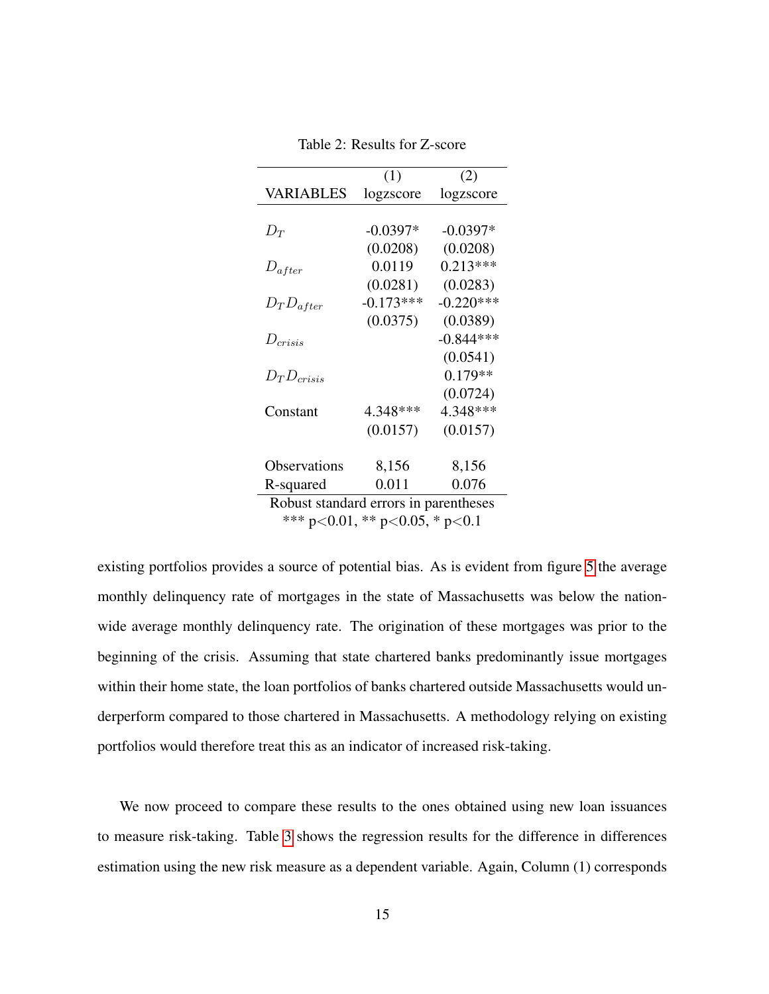<span id="page-15-0"></span>

|                                       | (1)         | (2)         |  |  |
|---------------------------------------|-------------|-------------|--|--|
| VARIABLES                             | logzscore   | logzscore   |  |  |
|                                       |             |             |  |  |
| $D_T$                                 | $-0.0397*$  | $-0.0397*$  |  |  |
|                                       | (0.0208)    | (0.0208)    |  |  |
| $D_{after}$                           | 0.0119      | $0.213***$  |  |  |
|                                       | (0.0281)    | (0.0283)    |  |  |
| $D_T D_{after}$                       | $-0.173***$ | $-0.220***$ |  |  |
|                                       | (0.0375)    | (0.0389)    |  |  |
| $D_{crisis}$                          |             | $-0.844***$ |  |  |
|                                       |             | (0.0541)    |  |  |
| $D_T D_{crisis}$                      |             | $0.179**$   |  |  |
|                                       |             | (0.0724)    |  |  |
| Constant                              | 4.348***    | 4.348***    |  |  |
|                                       | (0.0157)    | (0.0157)    |  |  |
|                                       |             |             |  |  |
| Observations                          | 8,156       | 8,156       |  |  |
| R-squared                             | 0.011       | 0.076       |  |  |
| Robust standard errors in parentheses |             |             |  |  |
| *** p<0.01, ** p<0.05, * p<0.1        |             |             |  |  |

Table 2: Results for Z-score

existing portfolios provides a source of potential bias. As is evident from figure [5](#page-16-0) the average monthly delinquency rate of mortgages in the state of Massachusetts was below the nationwide average monthly delinquency rate. The origination of these mortgages was prior to the beginning of the crisis. Assuming that state chartered banks predominantly issue mortgages within their home state, the loan portfolios of banks chartered outside Massachusetts would underperform compared to those chartered in Massachusetts. A methodology relying on existing portfolios would therefore treat this as an indicator of increased risk-taking.

We now proceed to compare these results to the ones obtained using new loan issuances to measure risk-taking. Table [3](#page-17-0) shows the regression results for the difference in differences estimation using the new risk measure as a dependent variable. Again, Column (1) corresponds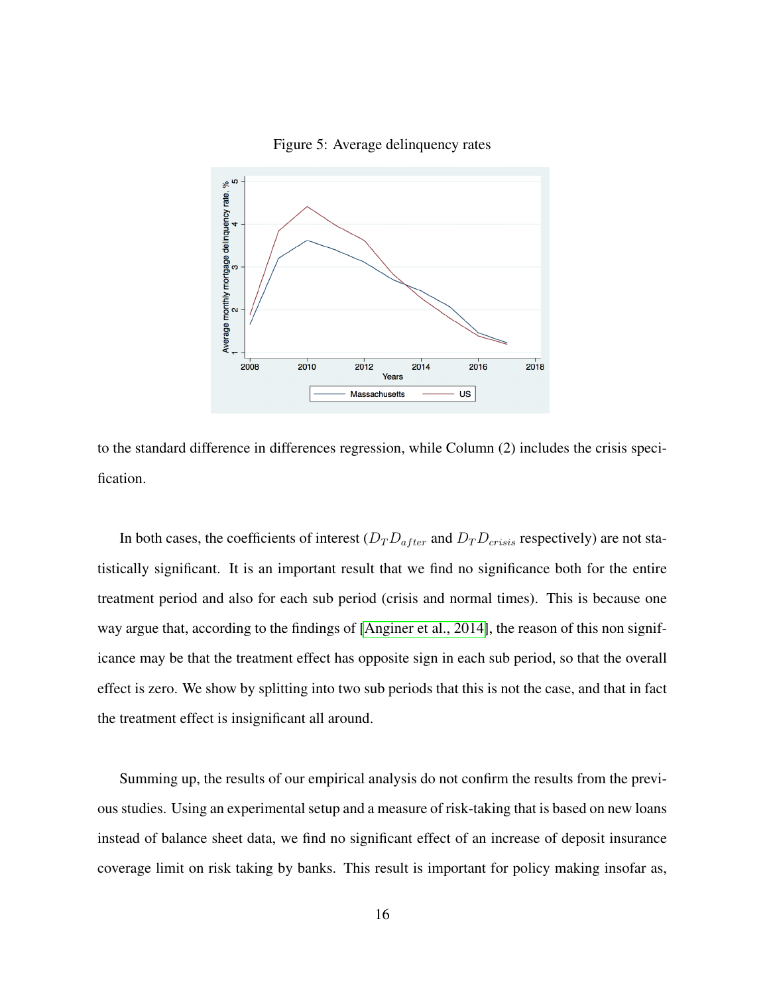<span id="page-16-0"></span>

Figure 5: Average delinquency rates

to the standard difference in differences regression, while Column (2) includes the crisis specification.

In both cases, the coefficients of interest  $(D_T D_{after}$  and  $D_T D_{crisis}$  respectively) are not statistically significant. It is an important result that we find no significance both for the entire treatment period and also for each sub period (crisis and normal times). This is because one way argue that, according to the findings of [\[Anginer et al., 2014\]](#page-25-3), the reason of this non significance may be that the treatment effect has opposite sign in each sub period, so that the overall effect is zero. We show by splitting into two sub periods that this is not the case, and that in fact the treatment effect is insignificant all around.

Summing up, the results of our empirical analysis do not confirm the results from the previous studies. Using an experimental setup and a measure of risk-taking that is based on new loans instead of balance sheet data, we find no significant effect of an increase of deposit insurance coverage limit on risk taking by banks. This result is important for policy making insofar as,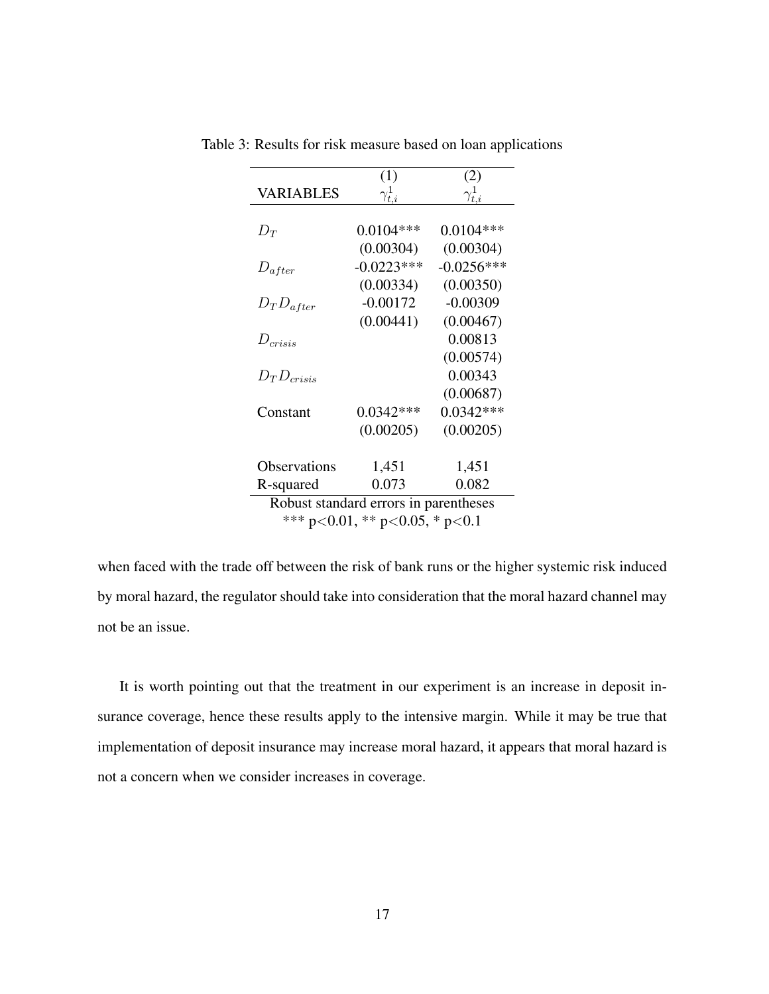|                                       | (1)              | (2)              |  |  |
|---------------------------------------|------------------|------------------|--|--|
| VARIABLES                             | $\gamma_{t.i}^1$ | $\gamma_{t.i}^1$ |  |  |
|                                       |                  |                  |  |  |
| $D_T$                                 | $0.0104***$      | $0.0104***$      |  |  |
|                                       | (0.00304)        | (0.00304)        |  |  |
| $D_{after}$                           | $-0.0223***$     | $-0.0256***$     |  |  |
|                                       | (0.00334)        | (0.00350)        |  |  |
| $D_T D_{after}$                       | $-0.00172$       | $-0.00309$       |  |  |
|                                       | (0.00441)        | (0.00467)        |  |  |
| $D_{crisis}$                          |                  | 0.00813          |  |  |
|                                       |                  | (0.00574)        |  |  |
| $D_{T}D_{crisis}$                     |                  | 0.00343          |  |  |
|                                       |                  | (0.00687)        |  |  |
| Constant                              | $0.0342***$      | $0.0342***$      |  |  |
|                                       | (0.00205)        | (0.00205)        |  |  |
|                                       |                  |                  |  |  |
| Observations                          | 1,451            | 1,451            |  |  |
| R-squared                             | 0.073            | 0.082            |  |  |
| Robust standard errors in parentheses |                  |                  |  |  |
| *** p<0.01, ** p<0.05, * p<0.1        |                  |                  |  |  |

<span id="page-17-0"></span>Table 3: Results for risk measure based on loan applications

when faced with the trade off between the risk of bank runs or the higher systemic risk induced by moral hazard, the regulator should take into consideration that the moral hazard channel may not be an issue.

It is worth pointing out that the treatment in our experiment is an increase in deposit insurance coverage, hence these results apply to the intensive margin. While it may be true that implementation of deposit insurance may increase moral hazard, it appears that moral hazard is not a concern when we consider increases in coverage.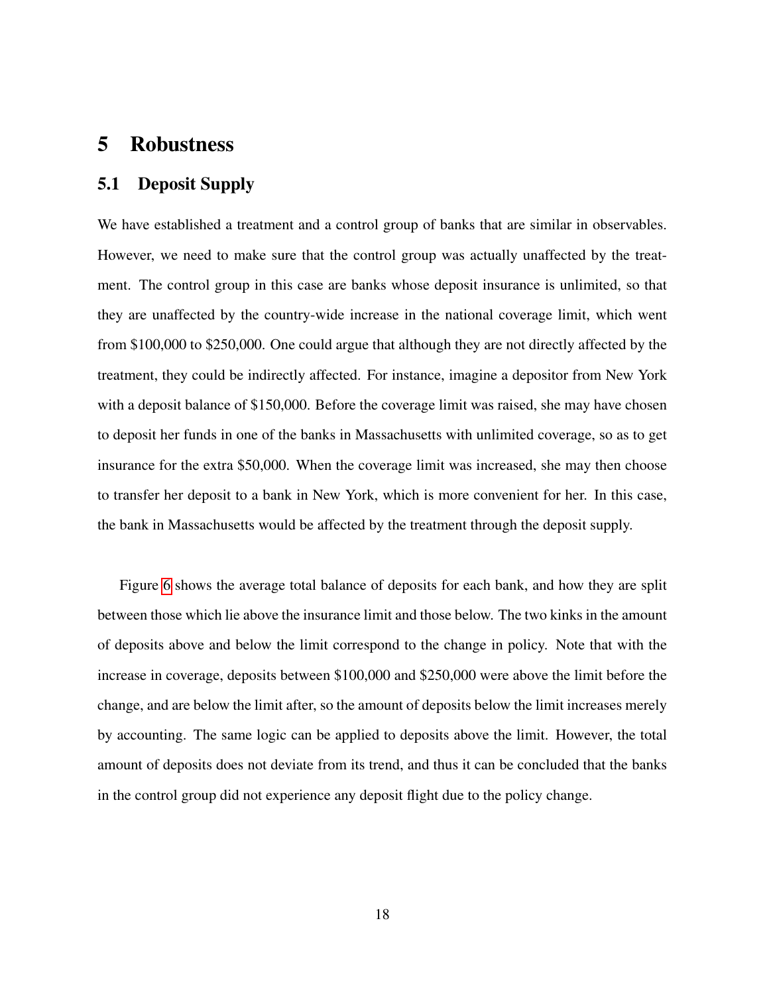### 5 Robustness

#### 5.1 Deposit Supply

We have established a treatment and a control group of banks that are similar in observables. However, we need to make sure that the control group was actually unaffected by the treatment. The control group in this case are banks whose deposit insurance is unlimited, so that they are unaffected by the country-wide increase in the national coverage limit, which went from \$100,000 to \$250,000. One could argue that although they are not directly affected by the treatment, they could be indirectly affected. For instance, imagine a depositor from New York with a deposit balance of \$150,000. Before the coverage limit was raised, she may have chosen to deposit her funds in one of the banks in Massachusetts with unlimited coverage, so as to get insurance for the extra \$50,000. When the coverage limit was increased, she may then choose to transfer her deposit to a bank in New York, which is more convenient for her. In this case, the bank in Massachusetts would be affected by the treatment through the deposit supply.

Figure [6](#page-19-0) shows the average total balance of deposits for each bank, and how they are split between those which lie above the insurance limit and those below. The two kinks in the amount of deposits above and below the limit correspond to the change in policy. Note that with the increase in coverage, deposits between \$100,000 and \$250,000 were above the limit before the change, and are below the limit after, so the amount of deposits below the limit increases merely by accounting. The same logic can be applied to deposits above the limit. However, the total amount of deposits does not deviate from its trend, and thus it can be concluded that the banks in the control group did not experience any deposit flight due to the policy change.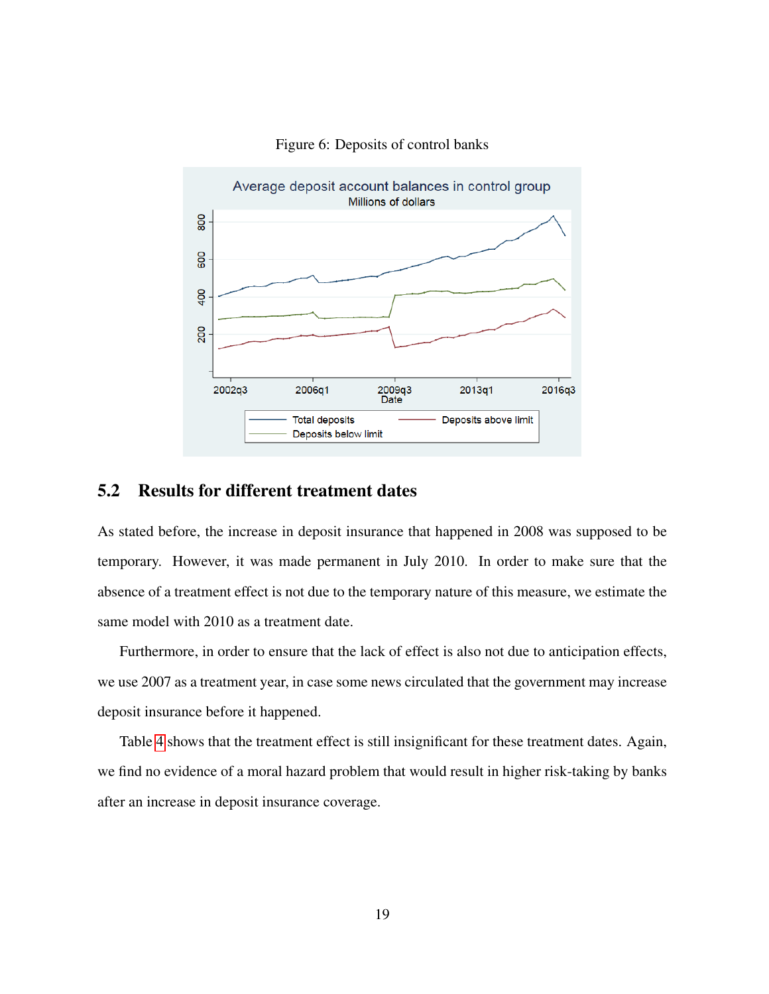<span id="page-19-0"></span>

#### Figure 6: Deposits of control banks

#### 5.2 Results for different treatment dates

As stated before, the increase in deposit insurance that happened in 2008 was supposed to be temporary. However, it was made permanent in July 2010. In order to make sure that the absence of a treatment effect is not due to the temporary nature of this measure, we estimate the same model with 2010 as a treatment date.

Furthermore, in order to ensure that the lack of effect is also not due to anticipation effects, we use 2007 as a treatment year, in case some news circulated that the government may increase deposit insurance before it happened.

Table [4](#page-20-0) shows that the treatment effect is still insignificant for these treatment dates. Again, we find no evidence of a moral hazard problem that would result in higher risk-taking by banks after an increase in deposit insurance coverage.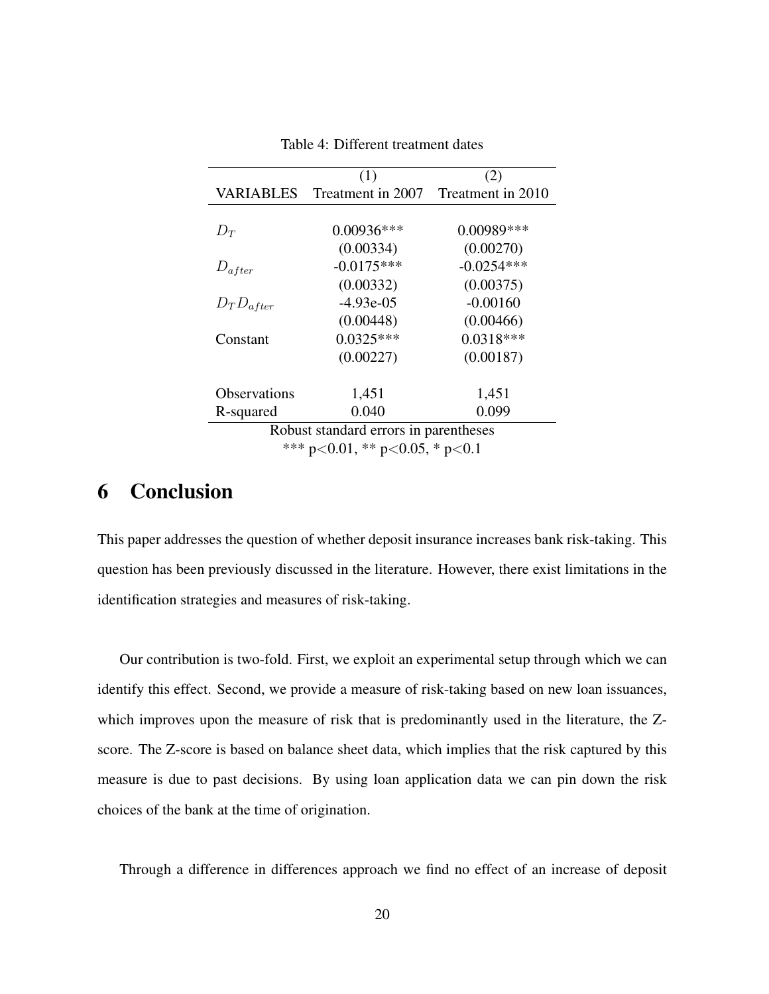<span id="page-20-0"></span>

|                                       | (1)               | (2)               |  |  |
|---------------------------------------|-------------------|-------------------|--|--|
| <b>VARIABLES</b>                      | Treatment in 2007 | Treatment in 2010 |  |  |
|                                       |                   |                   |  |  |
| $D_T$                                 | $0.00936***$      | $0.00989***$      |  |  |
|                                       | (0.00334)         | (0.00270)         |  |  |
| $D_{after}$                           | $-0.0175***$      | $-0.0254***$      |  |  |
|                                       | (0.00332)         | (0.00375)         |  |  |
| $D_T D_{after}$                       | $-4.93e-05$       | $-0.00160$        |  |  |
|                                       | (0.00448)         | (0.00466)         |  |  |
| Constant                              | $0.0325***$       | $0.0318***$       |  |  |
|                                       | (0.00227)         | (0.00187)         |  |  |
|                                       |                   |                   |  |  |
| <b>Observations</b>                   | 1,451             | 1,451             |  |  |
| R-squared                             | 0.040             | 0.099             |  |  |
| Robust standard errors in parentheses |                   |                   |  |  |
| *** p<0.01, ** p<0.05, * p<0.1        |                   |                   |  |  |

Table 4: Different treatment dates

# 6 Conclusion

This paper addresses the question of whether deposit insurance increases bank risk-taking. This question has been previously discussed in the literature. However, there exist limitations in the identification strategies and measures of risk-taking.

Our contribution is two-fold. First, we exploit an experimental setup through which we can identify this effect. Second, we provide a measure of risk-taking based on new loan issuances, which improves upon the measure of risk that is predominantly used in the literature, the Zscore. The Z-score is based on balance sheet data, which implies that the risk captured by this measure is due to past decisions. By using loan application data we can pin down the risk choices of the bank at the time of origination.

Through a difference in differences approach we find no effect of an increase of deposit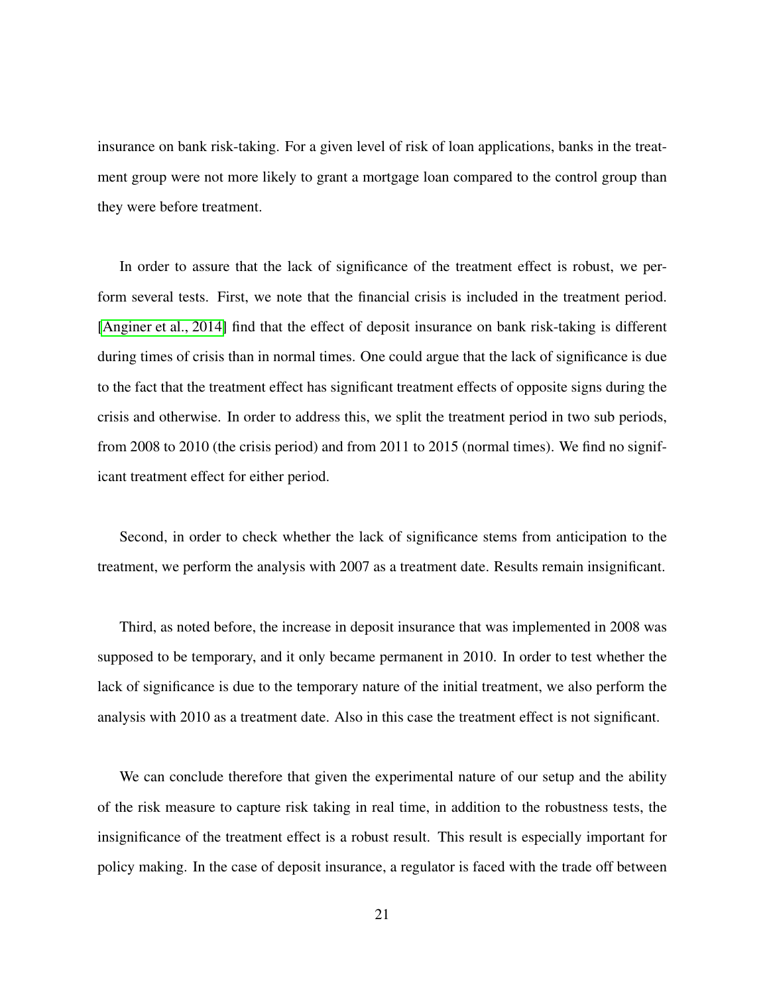insurance on bank risk-taking. For a given level of risk of loan applications, banks in the treatment group were not more likely to grant a mortgage loan compared to the control group than they were before treatment.

In order to assure that the lack of significance of the treatment effect is robust, we perform several tests. First, we note that the financial crisis is included in the treatment period. [\[Anginer et al., 2014\]](#page-25-3) find that the effect of deposit insurance on bank risk-taking is different during times of crisis than in normal times. One could argue that the lack of significance is due to the fact that the treatment effect has significant treatment effects of opposite signs during the crisis and otherwise. In order to address this, we split the treatment period in two sub periods, from 2008 to 2010 (the crisis period) and from 2011 to 2015 (normal times). We find no significant treatment effect for either period.

Second, in order to check whether the lack of significance stems from anticipation to the treatment, we perform the analysis with 2007 as a treatment date. Results remain insignificant.

Third, as noted before, the increase in deposit insurance that was implemented in 2008 was supposed to be temporary, and it only became permanent in 2010. In order to test whether the lack of significance is due to the temporary nature of the initial treatment, we also perform the analysis with 2010 as a treatment date. Also in this case the treatment effect is not significant.

We can conclude therefore that given the experimental nature of our setup and the ability of the risk measure to capture risk taking in real time, in addition to the robustness tests, the insignificance of the treatment effect is a robust result. This result is especially important for policy making. In the case of deposit insurance, a regulator is faced with the trade off between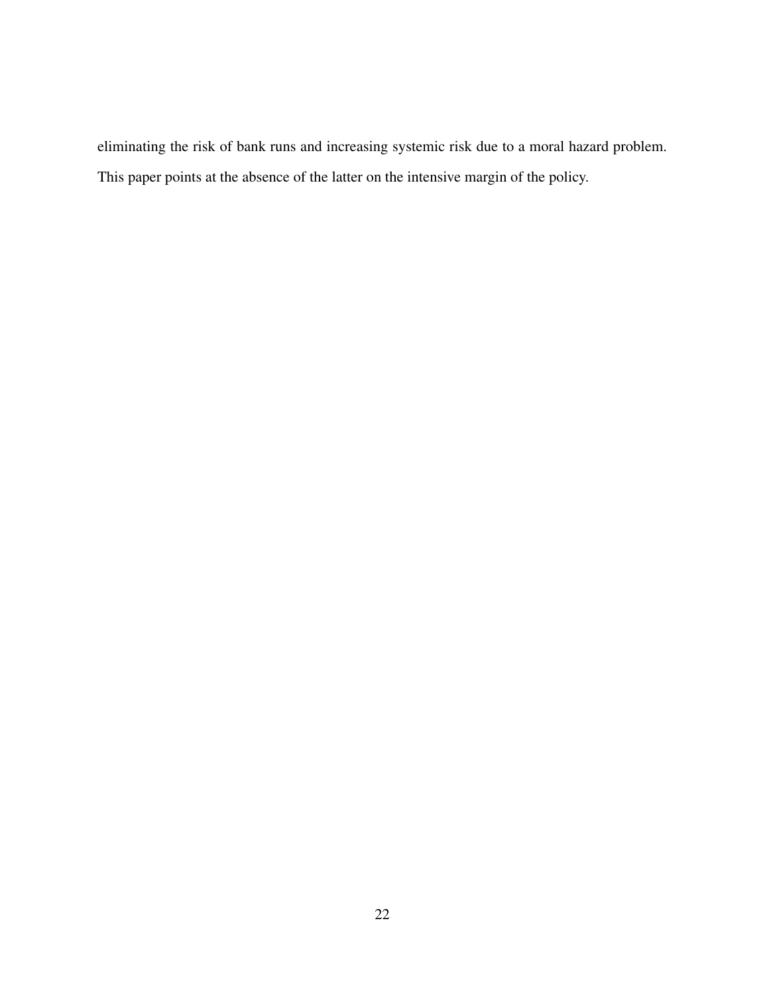eliminating the risk of bank runs and increasing systemic risk due to a moral hazard problem. This paper points at the absence of the latter on the intensive margin of the policy.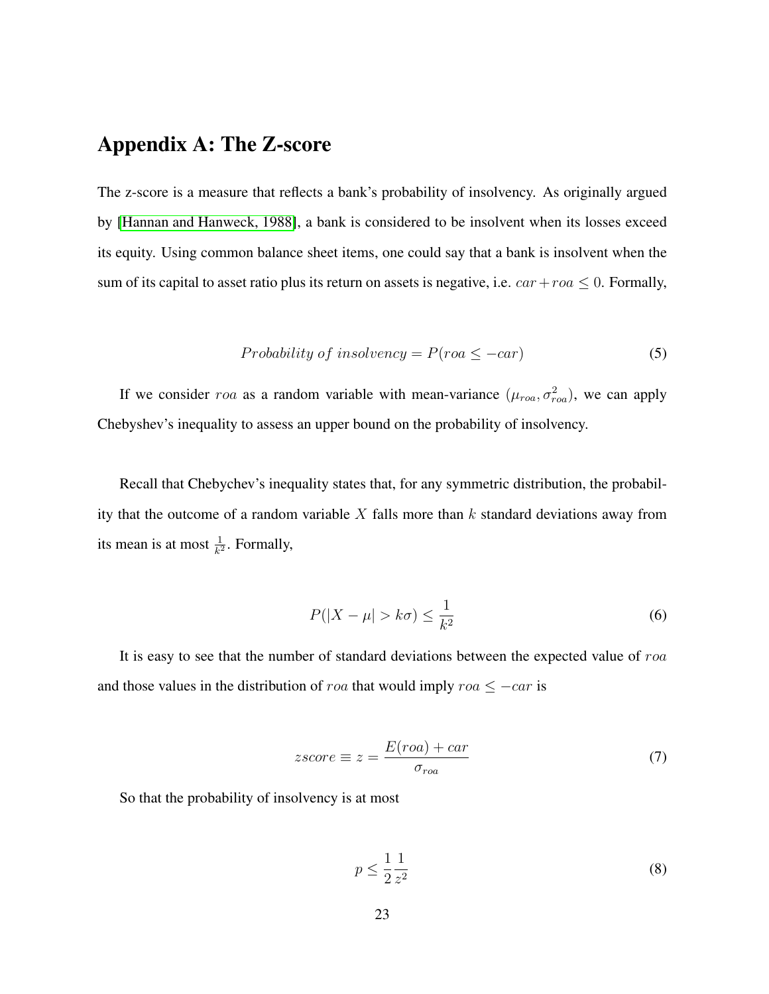# Appendix A: The Z-score

The z-score is a measure that reflects a bank's probability of insolvency. As originally argued by [\[Hannan and Hanweck, 1988\]](#page-25-7), a bank is considered to be insolvent when its losses exceed its equity. Using common balance sheet items, one could say that a bank is insolvent when the sum of its capital to asset ratio plus its return on assets is negative, i.e.  $car+roa \leq 0$ . Formally,

Probability of insolvency = 
$$
P(roa \le -car)
$$
 (5)

If we consider roa as a random variable with mean-variance  $(\mu_{roa}, \sigma_{roa}^2)$ , we can apply Chebyshev's inequality to assess an upper bound on the probability of insolvency.

Recall that Chebychev's inequality states that, for any symmetric distribution, the probability that the outcome of a random variable  $X$  falls more than  $k$  standard deviations away from its mean is at most  $\frac{1}{k^2}$ . Formally,

$$
P(|X - \mu| > k\sigma) \le \frac{1}{k^2} \tag{6}
$$

It is easy to see that the number of standard deviations between the expected value of roa and those values in the distribution of roa that would imply roa  $\leq -c$ ar is

$$
zscore \equiv z = \frac{E(roa) + car}{\sigma_{roa}} \tag{7}
$$

So that the probability of insolvency is at most

$$
p \le \frac{1}{2} \frac{1}{z^2} \tag{8}
$$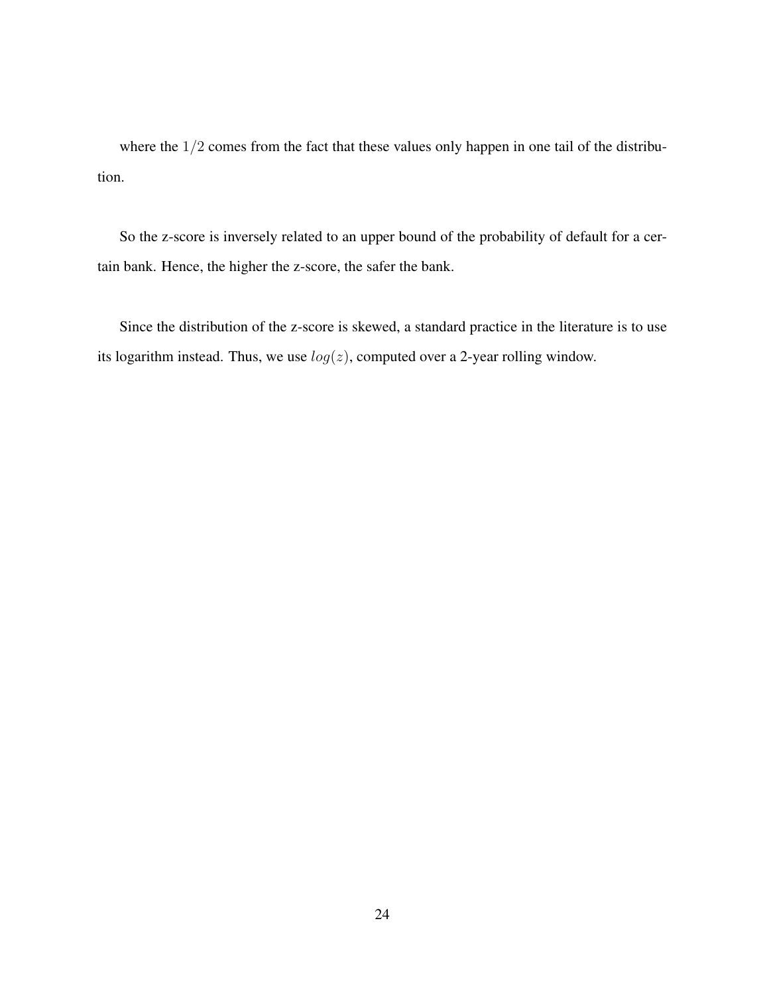where the  $1/2$  comes from the fact that these values only happen in one tail of the distribution.

So the z-score is inversely related to an upper bound of the probability of default for a certain bank. Hence, the higher the z-score, the safer the bank.

Since the distribution of the z-score is skewed, a standard practice in the literature is to use its logarithm instead. Thus, we use  $log(z)$ , computed over a 2-year rolling window.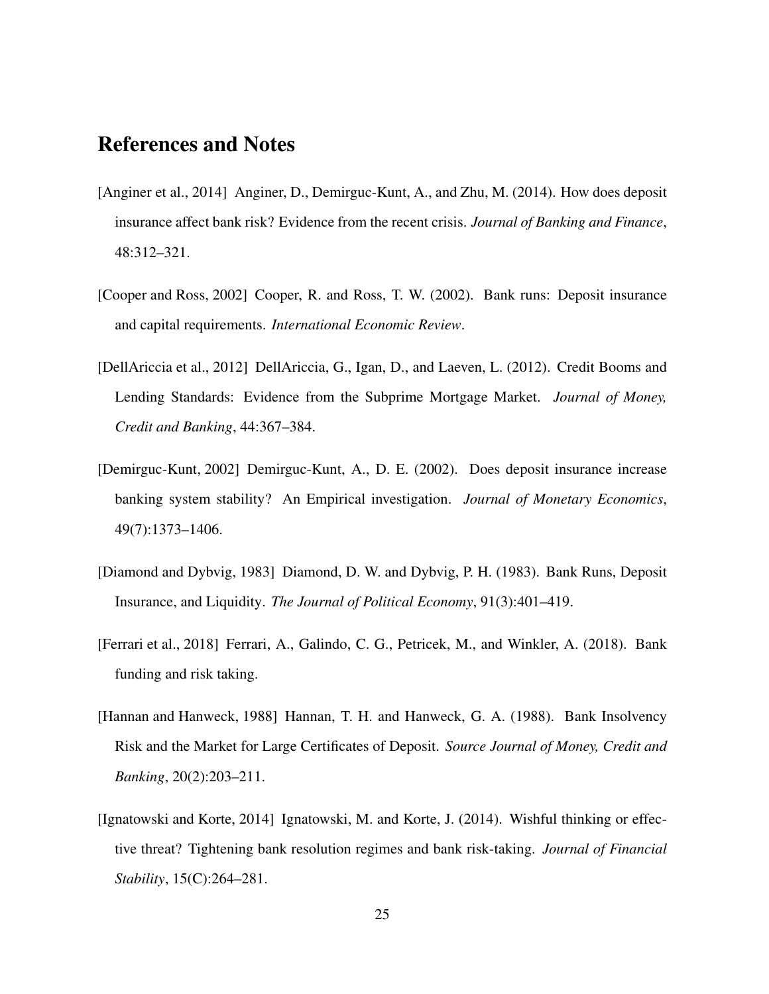# References and Notes

- <span id="page-25-3"></span>[Anginer et al., 2014] Anginer, D., Demirguc-Kunt, A., and Zhu, M. (2014). How does deposit insurance affect bank risk? Evidence from the recent crisis. *Journal of Banking and Finance*, 48:312–321.
- <span id="page-25-1"></span>[Cooper and Ross, 2002] Cooper, R. and Ross, T. W. (2002). Bank runs: Deposit insurance and capital requirements. *International Economic Review*.
- <span id="page-25-4"></span>[DellAriccia et al., 2012] DellAriccia, G., Igan, D., and Laeven, L. (2012). Credit Booms and Lending Standards: Evidence from the Subprime Mortgage Market. *Journal of Money, Credit and Banking*, 44:367–384.
- <span id="page-25-2"></span>[Demirguc-Kunt, 2002] Demirguc-Kunt, A., D. E. (2002). Does deposit insurance increase banking system stability? An Empirical investigation. *Journal of Monetary Economics*, 49(7):1373–1406.
- <span id="page-25-0"></span>[Diamond and Dybvig, 1983] Diamond, D. W. and Dybvig, P. H. (1983). Bank Runs, Deposit Insurance, and Liquidity. *The Journal of Political Economy*, 91(3):401–419.
- <span id="page-25-6"></span>[Ferrari et al., 2018] Ferrari, A., Galindo, C. G., Petricek, M., and Winkler, A. (2018). Bank funding and risk taking.
- <span id="page-25-7"></span>[Hannan and Hanweck, 1988] Hannan, T. H. and Hanweck, G. A. (1988). Bank Insolvency Risk and the Market for Large Certificates of Deposit. *Source Journal of Money, Credit and Banking*, 20(2):203–211.
- <span id="page-25-5"></span>[Ignatowski and Korte, 2014] Ignatowski, M. and Korte, J. (2014). Wishful thinking or effective threat? Tightening bank resolution regimes and bank risk-taking. *Journal of Financial Stability*, 15(C):264–281.